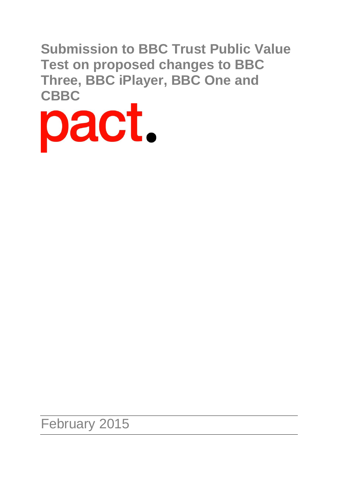**Submission to BBC Trust Public Value Test on proposed changes to BBC Three, BBC iPlayer, BBC One and**



February 2015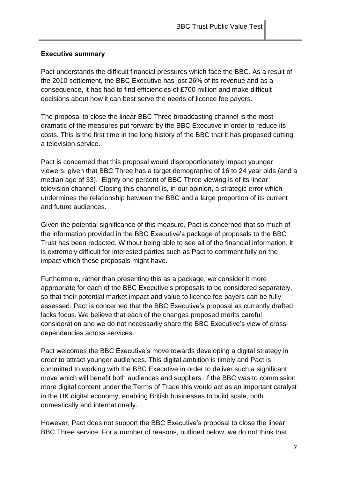### **Executive summary**

Pact understands the difficult financial pressures which face the BBC. As a result of the 2010 settlement, the BBC Executive has lost 26% of its revenue and as a consequence, it has had to find efficiencies of £700 million and make difficult decisions about how it can best serve the needs of licence fee payers.

The proposal to close the linear BBC Three broadcasting channel is the most dramatic of the measures put forward by the BBC Executive in order to reduce its costs. This is the first time in the long history of the BBC that it has proposed cutting a television service.

Pact is concerned that this proposal would disproportionately impact younger viewers, given that BBC Three has a target demographic of 16 to 24 year olds (and a median age of 33). Eighty one percent of BBC Three viewing is of its linear television channel. Closing this channel is, in our opinion, a strategic error which undermines the relationship between the BBC and a large proportion of its current and future audiences.

Given the potential significance of this measure, Pact is concerned that so much of the information provided in the BBC Executive's package of proposals to the BBC Trust has been redacted. Without being able to see all of the financial information, it is extremely difficult for interested parties such as Pact to comment fully on the impact which these proposals might have.

Furthermore, rather than presenting this as a package, we consider it more appropriate for each of the BBC Executive's proposals to be considered separately, so that their potential market impact and value to licence fee payers can be fully assessed. Pact is concerned that the BBC Executive's proposal as currently drafted lacks focus. We believe that each of the changes proposed merits careful consideration and we do not necessarily share the BBC Executive's view of crossdependencies across services.

Pact welcomes the BBC Executive's move towards developing a digital strategy in order to attract younger audiences. This digital ambition is timely and Pact is committed to working with the BBC Executive in order to deliver such a significant move which will benefit both audiences and suppliers. If the BBC was to commission more digital content under the Terms of Trade this would act as an important catalyst in the UK digital economy, enabling British businesses to build scale, both domestically and internationally.

However, Pact does not support the BBC Executive's proposal to close the linear BBC Three service. For a number of reasons, outlined below, we do not think that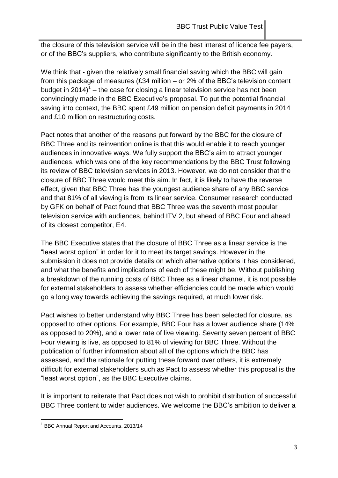the closure of this television service will be in the best interest of licence fee payers, or of the BBC's suppliers, who contribute significantly to the British economy.

We think that - given the relatively small financial saving which the BBC will gain from this package of measures (£34 million – or 2% of the BBC's television content budget in 2014) $^{\rm 1}$  – the case for closing a linear television service has not been convincingly made in the BBC Executive's proposal. To put the potential financial saving into context, the BBC spent £49 million on pension deficit payments in 2014 and £10 million on restructuring costs.

Pact notes that another of the reasons put forward by the BBC for the closure of BBC Three and its reinvention online is that this would enable it to reach younger audiences in innovative ways. We fully support the BBC's aim to attract younger audiences, which was one of the key recommendations by the BBC Trust following its review of BBC television services in 2013. However, we do not consider that the closure of BBC Three would meet this aim. In fact, it is likely to have the reverse effect, given that BBC Three has the youngest audience share of any BBC service and that 81% of all viewing is from its linear service. Consumer research conducted by GFK on behalf of Pact found that BBC Three was the seventh most popular television service with audiences, behind ITV 2, but ahead of BBC Four and ahead of its closest competitor, E4.

The BBC Executive states that the closure of BBC Three as a linear service is the "least worst option" in order for it to meet its target savings. However in the submission it does not provide details on which alternative options it has considered, and what the benefits and implications of each of these might be. Without publishing a breakdown of the running costs of BBC Three as a linear channel, it is not possible for external stakeholders to assess whether efficiencies could be made which would go a long way towards achieving the savings required, at much lower risk.

Pact wishes to better understand why BBC Three has been selected for closure, as opposed to other options. For example, BBC Four has a lower audience share (14% as opposed to 20%), and a lower rate of live viewing. Seventy seven percent of BBC Four viewing is live, as opposed to 81% of viewing for BBC Three. Without the publication of further information about all of the options which the BBC has assessed, and the rationale for putting these forward over others, it is extremely difficult for external stakeholders such as Pact to assess whether this proposal is the "least worst option", as the BBC Executive claims.

It is important to reiterate that Pact does not wish to prohibit distribution of successful BBC Three content to wider audiences. We welcome the BBC's ambition to deliver a

 $1$  BBC Annual Report and Accounts, 2013/14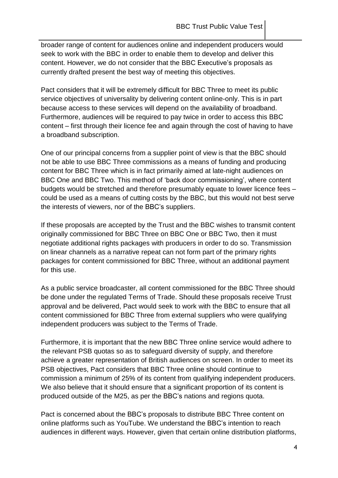broader range of content for audiences online and independent producers would seek to work with the BBC in order to enable them to develop and deliver this content. However, we do not consider that the BBC Executive's proposals as currently drafted present the best way of meeting this objectives.

Pact considers that it will be extremely difficult for BBC Three to meet its public service objectives of universality by delivering content online-only. This is in part because access to these services will depend on the availability of broadband. Furthermore, audiences will be required to pay twice in order to access this BBC content – first through their licence fee and again through the cost of having to have a broadband subscription.

One of our principal concerns from a supplier point of view is that the BBC should not be able to use BBC Three commissions as a means of funding and producing content for BBC Three which is in fact primarily aimed at late-night audiences on BBC One and BBC Two. This method of 'back door commissioning', where content budgets would be stretched and therefore presumably equate to lower licence fees – could be used as a means of cutting costs by the BBC, but this would not best serve the interests of viewers, nor of the BBC's suppliers.

If these proposals are accepted by the Trust and the BBC wishes to transmit content originally commissioned for BBC Three on BBC One or BBC Two, then it must negotiate additional rights packages with producers in order to do so. Transmission on linear channels as a narrative repeat can not form part of the primary rights packages for content commissioned for BBC Three, without an additional payment for this use.

As a public service broadcaster, all content commissioned for the BBC Three should be done under the regulated Terms of Trade. Should these proposals receive Trust approval and be delivered, Pact would seek to work with the BBC to ensure that all content commissioned for BBC Three from external suppliers who were qualifying independent producers was subject to the Terms of Trade.

Furthermore, it is important that the new BBC Three online service would adhere to the relevant PSB quotas so as to safeguard diversity of supply, and therefore achieve a greater representation of British audiences on screen. In order to meet its PSB objectives, Pact considers that BBC Three online should continue to commission a minimum of 25% of its content from qualifying independent producers. We also believe that it should ensure that a significant proportion of its content is produced outside of the M25, as per the BBC's nations and regions quota.

Pact is concerned about the BBC's proposals to distribute BBC Three content on online platforms such as YouTube. We understand the BBC's intention to reach audiences in different ways. However, given that certain online distribution platforms,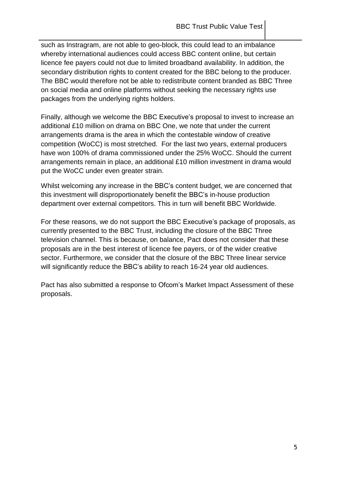such as Instragram, are not able to geo-block, this could lead to an imbalance whereby international audiences could access BBC content online, but certain licence fee payers could not due to limited broadband availability. In addition, the secondary distribution rights to content created for the BBC belong to the producer. The BBC would therefore not be able to redistribute content branded as BBC Three on social media and online platforms without seeking the necessary rights use packages from the underlying rights holders.

Finally, although we welcome the BBC Executive's proposal to invest to increase an additional £10 million on drama on BBC One, we note that under the current arrangements drama is the area in which the contestable window of creative competition (WoCC) is most stretched. For the last two years, external producers have won 100% of drama commissioned under the 25% WoCC. Should the current arrangements remain in place, an additional £10 million investment in drama would put the WoCC under even greater strain.

Whilst welcoming any increase in the BBC's content budget, we are concerned that this investment will disproportionately benefit the BBC's in-house production department over external competitors. This in turn will benefit BBC Worldwide.

For these reasons, we do not support the BBC Executive's package of proposals, as currently presented to the BBC Trust, including the closure of the BBC Three television channel. This is because, on balance, Pact does not consider that these proposals are in the best interest of licence fee payers, or of the wider creative sector. Furthermore, we consider that the closure of the BBC Three linear service will significantly reduce the BBC's ability to reach 16-24 year old audiences.

Pact has also submitted a response to Ofcom's Market Impact Assessment of these proposals.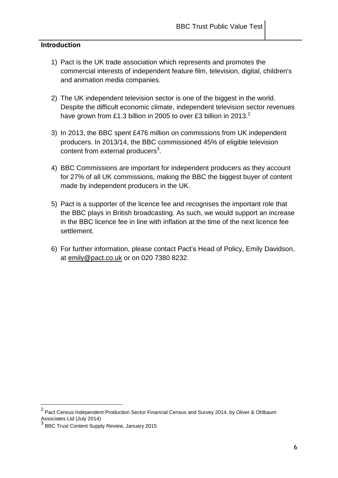### **Introduction**

- 1) Pact is the UK trade association which represents and promotes the commercial interests of independent feature film, television, digital, children's and animation media companies.
- 2) The UK independent television sector is one of the biggest in the world. Despite the difficult economic climate, independent television sector revenues have grown from £1.3 billion in 2005 to over £3 billion in 2013.<sup>2</sup>
- 3) In 2013, the BBC spent £476 million on commissions from UK independent producers. In 2013/14, the BBC commissioned 45% of eligible television content from external producers<sup>3</sup>.
- 4) BBC Commissions are important for independent producers as they account for 27% of all UK commissions, making the BBC the biggest buyer of content made by independent producers in the UK.
- 5) Pact is a supporter of the licence fee and recognises the important role that the BBC plays in British broadcasting. As such, we would support an increase in the BBC licence fee in line with inflation at the time of the next licence fee settlement.
- 6) For further information, please contact Pact's Head of Policy, Emily Davidson, at [emily@pact.co.uk](mailto:emily@pact.co.uk) or on 020 7380 8232.

 2 Pact Census Independent Production Sector Financial Census and Survey 2014, by Oliver & Ohlbaum Associates Ltd (July 2014)

<sup>&</sup>lt;sup>3</sup> BBC Trust Content Supply Review, January 2015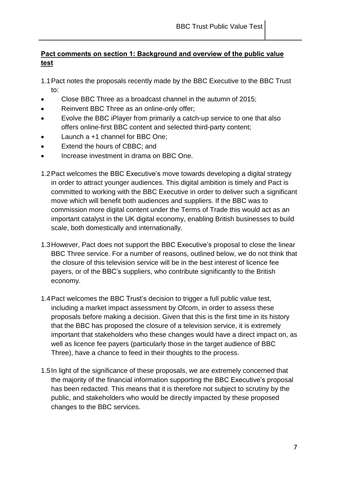# **Pact comments on section 1: Background and overview of the public value test**

1.1Pact notes the proposals recently made by the BBC Executive to the BBC Trust to:

- Close BBC Three as a broadcast channel in the autumn of 2015;
- Reinvent BBC Three as an online-only offer;
- Evolve the BBC iPlayer from primarily a catch-up service to one that also offers online-first BBC content and selected third-party content;
- Launch a +1 channel for BBC One;
- Extend the hours of CBBC; and
- Increase investment in drama on BBC One.
- 1.2Pact welcomes the BBC Executive's move towards developing a digital strategy in order to attract younger audiences. This digital ambition is timely and Pact is committed to working with the BBC Executive in order to deliver such a significant move which will benefit both audiences and suppliers. If the BBC was to commission more digital content under the Terms of Trade this would act as an important catalyst in the UK digital economy, enabling British businesses to build scale, both domestically and internationally.
- 1.3However, Pact does not support the BBC Executive's proposal to close the linear BBC Three service. For a number of reasons, outlined below, we do not think that the closure of this television service will be in the best interest of licence fee payers, or of the BBC's suppliers, who contribute significantly to the British economy.
- 1.4Pact welcomes the BBC Trust's decision to trigger a full public value test, including a market impact assessment by Ofcom, in order to assess these proposals before making a decision. Given that this is the first time in its history that the BBC has proposed the closure of a television service, it is extremely important that stakeholders who these changes would have a direct impact on, as well as licence fee payers (particularly those in the target audience of BBC Three), have a chance to feed in their thoughts to the process.
- 1.5In light of the significance of these proposals, we are extremely concerned that the majority of the financial information supporting the BBC Executive's proposal has been redacted. This means that it is therefore not subject to scrutiny by the public, and stakeholders who would be directly impacted by these proposed changes to the BBC services.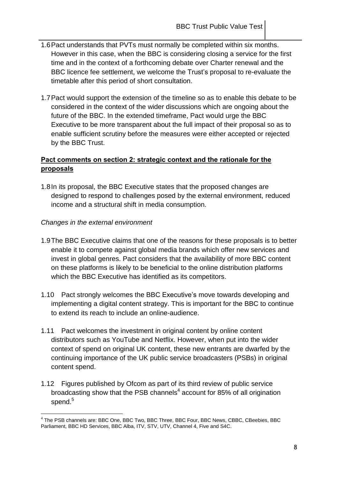- 1.6Pact understands that PVTs must normally be completed within six months. However in this case, when the BBC is considering closing a service for the first time and in the context of a forthcoming debate over Charter renewal and the BBC licence fee settlement, we welcome the Trust's proposal to re-evaluate the timetable after this period of short consultation.
- 1.7Pact would support the extension of the timeline so as to enable this debate to be considered in the context of the wider discussions which are ongoing about the future of the BBC. In the extended timeframe, Pact would urge the BBC Executive to be more transparent about the full impact of their proposal so as to enable sufficient scrutiny before the measures were either accepted or rejected by the BBC Trust.

## **Pact comments on section 2: strategic context and the rationale for the proposals**

1.8In its proposal, the BBC Executive states that the proposed changes are designed to respond to challenges posed by the external environment, reduced income and a structural shift in media consumption.

## *Changes in the external environment*

- 1.9The BBC Executive claims that one of the reasons for these proposals is to better enable it to compete against global media brands which offer new services and invest in global genres. Pact considers that the availability of more BBC content on these platforms is likely to be beneficial to the online distribution platforms which the BBC Executive has identified as its competitors.
- 1.10 Pact strongly welcomes the BBC Executive's move towards developing and implementing a digital content strategy. This is important for the BBC to continue to extend its reach to include an online-audience.
- 1.11 Pact welcomes the investment in original content by online content distributors such as YouTube and Netflix. However, when put into the wider context of spend on original UK content, these new entrants are dwarfed by the continuing importance of the UK public service broadcasters (PSBs) in original content spend.
- 1.12 Figures published by Ofcom as part of its third review of public service broadcasting show that the PSB channels<sup>4</sup> account for 85% of all origination spend.<sup>5</sup>

<sup>&</sup>lt;sup>4</sup> The PSB channels are: BBC One, BBC Two, BBC Three, BBC Four, BBC News, CBBC, CBeebies, BBC Parliament, BBC HD Services, BBC Alba, ITV, STV, UTV, Channel 4, Five and S4C.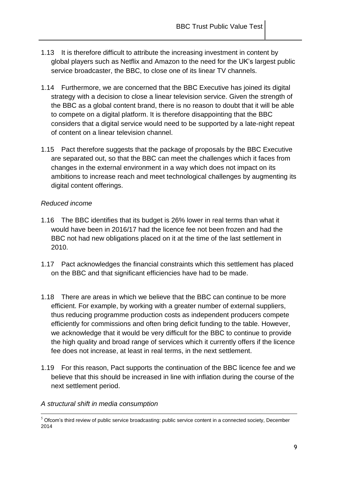- 1.13 It is therefore difficult to attribute the increasing investment in content by global players such as Netflix and Amazon to the need for the UK's largest public service broadcaster, the BBC, to close one of its linear TV channels.
- 1.14 Furthermore, we are concerned that the BBC Executive has joined its digital strategy with a decision to close a linear television service. Given the strength of the BBC as a global content brand, there is no reason to doubt that it will be able to compete on a digital platform. It is therefore disappointing that the BBC considers that a digital service would need to be supported by a late-night repeat of content on a linear television channel.
- 1.15 Pact therefore suggests that the package of proposals by the BBC Executive are separated out, so that the BBC can meet the challenges which it faces from changes in the external environment in a way which does not impact on its ambitions to increase reach and meet technological challenges by augmenting its digital content offerings.

### *Reduced income*

- 1.16 The BBC identifies that its budget is 26% lower in real terms than what it would have been in 2016/17 had the licence fee not been frozen and had the BBC not had new obligations placed on it at the time of the last settlement in 2010.
- 1.17 Pact acknowledges the financial constraints which this settlement has placed on the BBC and that significant efficiencies have had to be made.
- 1.18 There are areas in which we believe that the BBC can continue to be more efficient. For example, by working with a greater number of external suppliers, thus reducing programme production costs as independent producers compete efficiently for commissions and often bring deficit funding to the table. However, we acknowledge that it would be very difficult for the BBC to continue to provide the high quality and broad range of services which it currently offers if the licence fee does not increase, at least in real terms, in the next settlement.
- 1.19 For this reason, Pact supports the continuation of the BBC licence fee and we believe that this should be increased in line with inflation during the course of the next settlement period.
- *A structural shift in media consumption*

 $5$  Ofcom's third review of public service broadcasting: public service content in a connected society, December 2014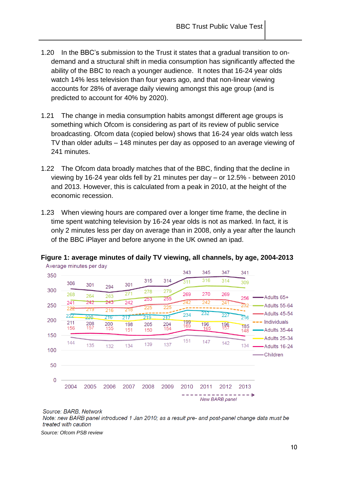- 1.20 In the BBC's submission to the Trust it states that a gradual transition to ondemand and a structural shift in media consumption has significantly affected the ability of the BBC to reach a younger audience. It notes that 16-24 year olds watch 14% less television than four years ago, and that non-linear viewing accounts for 28% of average daily viewing amongst this age group (and is predicted to account for 40% by 2020).
- 1.21 The change in media consumption habits amongst different age groups is something which Ofcom is considering as part of its review of public service broadcasting. Ofcom data (copied below) shows that 16-24 year olds watch less TV than older adults – 148 minutes per day as opposed to an average viewing of 241 minutes.
- 1.22 The Ofcom data broadly matches that of the BBC, finding that the decline in viewing by 16-24 year olds fell by 21 minutes per day – or 12.5% - between 2010 and 2013. However, this is calculated from a peak in 2010, at the height of the economic recession.
- 1.23 When viewing hours are compared over a longer time frame, the decline in time spent watching television by 16-24 year olds is not as marked. In fact, it is only 2 minutes less per day on average than in 2008, only a year after the launch of the BBC iPlayer and before anyone in the UK owned an ipad.



**Figure 1: average minutes of daily TV viewing, all channels, by age, 2004-2013** Average minutes per day

Source: BARB, Network

Note: new BARB panel introduced 1 Jan 2010; as a result pre- and post-panel change data must be treated with caution

*Source: Ofcom PSB review*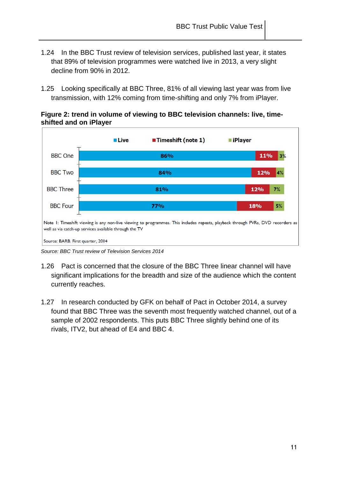- 1.24 In the BBC Trust review of television services, published last year, it states that 89% of television programmes were watched live in 2013, a very slight decline from 90% in 2012.
- 1.25 Looking specifically at BBC Three, 81% of all viewing last year was from live transmission, with 12% coming from time-shifting and only 7% from iPlayer.





*Source: BBC Trust review of Television Services 2014*

- 1.26 Pact is concerned that the closure of the BBC Three linear channel will have significant implications for the breadth and size of the audience which the content currently reaches.
- 1.27 In research conducted by GFK on behalf of Pact in October 2014, a survey found that BBC Three was the seventh most frequently watched channel, out of a sample of 2002 respondents. This puts BBC Three slightly behind one of its rivals, ITV2, but ahead of E4 and BBC 4.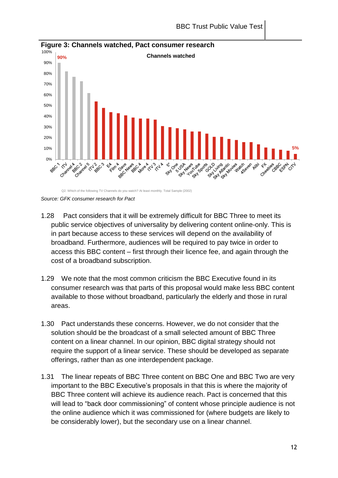

**Figure 3: Channels watched, Pact consumer research**

*Source: GFK consumer research for Pact*

Q2. Which of the following TV Channels do you watch? At least monthly. Total Sample (2002)

- 1.28 Pact considers that it will be extremely difficult for BBC Three to meet its public service objectives of universality by delivering content online-only. This is in part because access to these services will depend on the availability of broadband. Furthermore, audiences will be required to pay twice in order to access this BBC content – first through their licence fee, and again through the cost of a broadband subscription.
- 1.29 We note that the most common criticism the BBC Executive found in its consumer research was that parts of this proposal would make less BBC content available to those without broadband, particularly the elderly and those in rural areas.
- 1.30 Pact understands these concerns. However, we do not consider that the solution should be the broadcast of a small selected amount of BBC Three content on a linear channel. In our opinion, BBC digital strategy should not require the support of a linear service. These should be developed as separate offerings, rather than as one interdependent package.
- 1.31 The linear repeats of BBC Three content on BBC One and BBC Two are very important to the BBC Executive's proposals in that this is where the majority of BBC Three content will achieve its audience reach. Pact is concerned that this will lead to "back door commissioning" of content whose principle audience is not the online audience which it was commissioned for (where budgets are likely to be considerably lower), but the secondary use on a linear channel.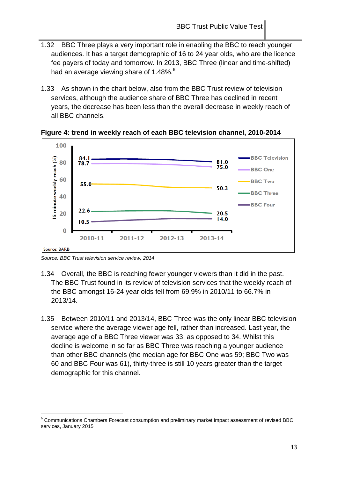- 1.32 BBC Three plays a very important role in enabling the BBC to reach younger audiences. It has a target demographic of 16 to 24 year olds, who are the licence fee payers of today and tomorrow. In 2013, BBC Three (linear and time-shifted) had an average viewing share of 1.48%.<sup>6</sup>
- 1.33 As shown in the chart below, also from the BBC Trust review of television services, although the audience share of BBC Three has declined in recent years, the decrease has been less than the overall decrease in weekly reach of all BBC channels.



**Figure 4: trend in weekly reach of each BBC television channel, 2010-2014**

*Source: BBC Trust television service review, 2014*

- 1.34 Overall, the BBC is reaching fewer younger viewers than it did in the past. The BBC Trust found in its review of television services that the weekly reach of the BBC amongst 16-24 year olds fell from 69.9% in 2010/11 to 66.7% in 2013/14.
- 1.35 Between 2010/11 and 2013/14, BBC Three was the only linear BBC television service where the average viewer age fell, rather than increased. Last year, the average age of a BBC Three viewer was 33, as opposed to 34. Whilst this decline is welcome in so far as BBC Three was reaching a younger audience than other BBC channels (the median age for BBC One was 59; BBC Two was 60 and BBC Four was 61), thirty-three is still 10 years greater than the target demographic for this channel.

 $6$  Communications Chambers Forecast consumption and preliminary market impact assessment of revised BBC services, January 2015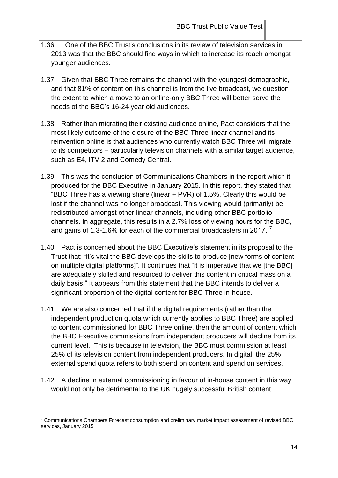- 1.36 One of the BBC Trust's conclusions in its review of television services in 2013 was that the BBC should find ways in which to increase its reach amongst younger audiences.
- 1.37 Given that BBC Three remains the channel with the youngest demographic, and that 81% of content on this channel is from the live broadcast, we question the extent to which a move to an online-only BBC Three will better serve the needs of the BBC's 16-24 year old audiences.
- 1.38 Rather than migrating their existing audience online, Pact considers that the most likely outcome of the closure of the BBC Three linear channel and its reinvention online is that audiences who currently watch BBC Three will migrate to its competitors – particularly television channels with a similar target audience, such as E4, ITV 2 and Comedy Central.
- 1.39 This was the conclusion of Communications Chambers in the report which it produced for the BBC Executive in January 2015. In this report, they stated that "BBC Three has a viewing share (linear + PVR) of 1.5%. Clearly this would be lost if the channel was no longer broadcast. This viewing would (primarily) be redistributed amongst other linear channels, including other BBC portfolio channels. In aggregate, this results in a 2.7% loss of viewing hours for the BBC, and gains of 1.3-1.6% for each of the commercial broadcasters in 2017."
- 1.40 Pact is concerned about the BBC Executive's statement in its proposal to the Trust that: "it's vital the BBC develops the skills to produce [new forms of content on multiple digital platforms]". It continues that "it is imperative that we [the BBC] are adequately skilled and resourced to deliver this content in critical mass on a daily basis." It appears from this statement that the BBC intends to deliver a significant proportion of the digital content for BBC Three in-house.
- 1.41 We are also concerned that if the digital requirements (rather than the independent production quota which currently applies to BBC Three) are applied to content commissioned for BBC Three online, then the amount of content which the BBC Executive commissions from independent producers will decline from its current level. This is because in television, the BBC must commission at least 25% of its television content from independent producers. In digital, the 25% external spend quota refers to both spend on content and spend on services.
- 1.42 A decline in external commissioning in favour of in-house content in this way would not only be detrimental to the UK hugely successful British content

 $7$  Communications Chambers Forecast consumption and preliminary market impact assessment of revised BBC services, January 2015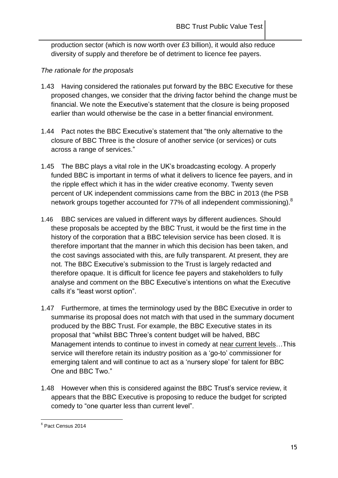production sector (which is now worth over £3 billion), it would also reduce diversity of supply and therefore be of detriment to licence fee payers.

### *The rationale for the proposals*

- 1.43 Having considered the rationales put forward by the BBC Executive for these proposed changes, we consider that the driving factor behind the change must be financial. We note the Executive's statement that the closure is being proposed earlier than would otherwise be the case in a better financial environment.
- 1.44 Pact notes the BBC Executive's statement that "the only alternative to the closure of BBC Three is the closure of another service (or services) or cuts across a range of services."
- 1.45 The BBC plays a vital role in the UK's broadcasting ecology. A properly funded BBC is important in terms of what it delivers to licence fee payers, and in the ripple effect which it has in the wider creative economy. Twenty seven percent of UK independent commissions came from the BBC in 2013 (the PSB network groups together accounted for 77% of all independent commissioning). $^8$
- 1.46 BBC services are valued in different ways by different audiences. Should these proposals be accepted by the BBC Trust, it would be the first time in the history of the corporation that a BBC television service has been closed. It is therefore important that the manner in which this decision has been taken, and the cost savings associated with this, are fully transparent. At present, they are not. The BBC Executive's submission to the Trust is largely redacted and therefore opaque. It is difficult for licence fee payers and stakeholders to fully analyse and comment on the BBC Executive's intentions on what the Executive calls it's "least worst option".
- 1.47 Furthermore, at times the terminology used by the BBC Executive in order to summarise its proposal does not match with that used in the summary document produced by the BBC Trust. For example, the BBC Executive states in its proposal that "whilst BBC Three's content budget will be halved, BBC Management intends to continue to invest in comedy at near current levels...This service will therefore retain its industry position as a 'go-to' commissioner for emerging talent and will continue to act as a 'nursery slope' for talent for BBC One and BBC Two."
- 1.48 However when this is considered against the BBC Trust's service review, it appears that the BBC Executive is proposing to reduce the budget for scripted comedy to "one quarter less than current level".

<sup>&</sup>lt;u>。</u><br><sup>8</sup> Pact Census 2014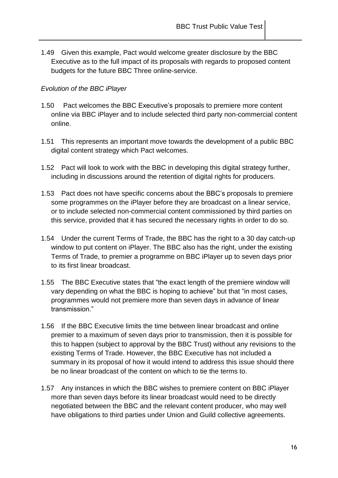1.49 Given this example, Pact would welcome greater disclosure by the BBC Executive as to the full impact of its proposals with regards to proposed content budgets for the future BBC Three online-service.

## *Evolution of the BBC iPlayer*

- 1.50 Pact welcomes the BBC Executive's proposals to premiere more content online via BBC iPlayer and to include selected third party non-commercial content online.
- 1.51 This represents an important move towards the development of a public BBC digital content strategy which Pact welcomes.
- 1.52 Pact will look to work with the BBC in developing this digital strategy further, including in discussions around the retention of digital rights for producers.
- 1.53 Pact does not have specific concerns about the BBC's proposals to premiere some programmes on the iPlayer before they are broadcast on a linear service, or to include selected non-commercial content commissioned by third parties on this service, provided that it has secured the necessary rights in order to do so.
- 1.54 Under the current Terms of Trade, the BBC has the right to a 30 day catch-up window to put content on iPlayer. The BBC also has the right, under the existing Terms of Trade, to premier a programme on BBC iPlayer up to seven days prior to its first linear broadcast.
- 1.55 The BBC Executive states that "the exact length of the premiere window will vary depending on what the BBC is hoping to achieve" but that "in most cases, programmes would not premiere more than seven days in advance of linear transmission."
- 1.56 If the BBC Executive limits the time between linear broadcast and online premier to a maximum of seven days prior to transmission, then it is possible for this to happen (subject to approval by the BBC Trust) without any revisions to the existing Terms of Trade. However, the BBC Executive has not included a summary in its proposal of how it would intend to address this issue should there be no linear broadcast of the content on which to tie the terms to.
- 1.57 Any instances in which the BBC wishes to premiere content on BBC iPlayer more than seven days before its linear broadcast would need to be directly negotiated between the BBC and the relevant content producer, who may well have obligations to third parties under Union and Guild collective agreements.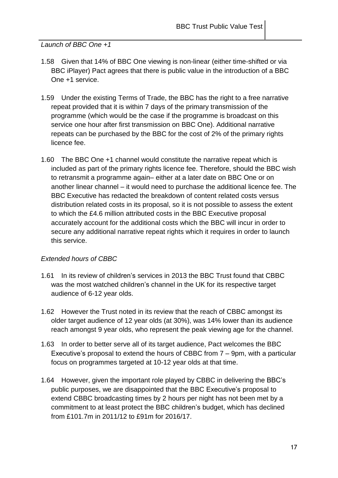*Launch of BBC One +1*

- 1.58 Given that 14% of BBC One viewing is non-linear (either time-shifted or via BBC iPlayer) Pact agrees that there is public value in the introduction of a BBC One +1 service.
- 1.59 Under the existing Terms of Trade, the BBC has the right to a free narrative repeat provided that it is within 7 days of the primary transmission of the programme (which would be the case if the programme is broadcast on this service one hour after first transmission on BBC One). Additional narrative repeats can be purchased by the BBC for the cost of 2% of the primary rights licence fee.
- 1.60 The BBC One +1 channel would constitute the narrative repeat which is included as part of the primary rights licence fee. Therefore, should the BBC wish to retransmit a programme again– either at a later date on BBC One or on another linear channel – it would need to purchase the additional licence fee. The BBC Executive has redacted the breakdown of content related costs versus distribution related costs in its proposal, so it is not possible to assess the extent to which the £4.6 million attributed costs in the BBC Executive proposal accurately account for the additional costs which the BBC will incur in order to secure any additional narrative repeat rights which it requires in order to launch this service.

## *Extended hours of CBBC*

- 1.61 In its review of children's services in 2013 the BBC Trust found that CBBC was the most watched children's channel in the UK for its respective target audience of 6-12 year olds.
- 1.62 However the Trust noted in its review that the reach of CBBC amongst its older target audience of 12 year olds (at 30%), was 14% lower than its audience reach amongst 9 year olds, who represent the peak viewing age for the channel.
- 1.63 In order to better serve all of its target audience, Pact welcomes the BBC Executive's proposal to extend the hours of CBBC from 7 – 9pm, with a particular focus on programmes targeted at 10-12 year olds at that time.
- 1.64 However, given the important role played by CBBC in delivering the BBC's public purposes, we are disappointed that the BBC Executive's proposal to extend CBBC broadcasting times by 2 hours per night has not been met by a commitment to at least protect the BBC children's budget, which has declined from £101.7m in 2011/12 to £91m for 2016/17.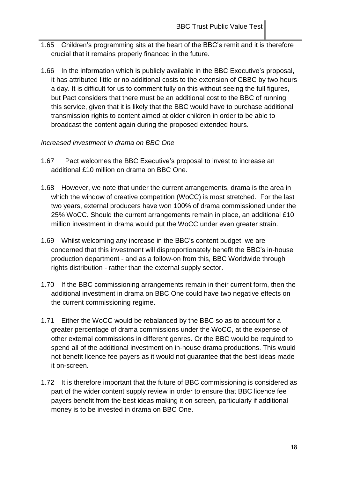- 1.65 Children's programming sits at the heart of the BBC's remit and it is therefore crucial that it remains properly financed in the future.
- 1.66 In the information which is publicly available in the BBC Executive's proposal, it has attributed little or no additional costs to the extension of CBBC by two hours a day. It is difficult for us to comment fully on this without seeing the full figures, but Pact considers that there must be an additional cost to the BBC of running this service, given that it is likely that the BBC would have to purchase additional transmission rights to content aimed at older children in order to be able to broadcast the content again during the proposed extended hours.

#### *Increased investment in drama on BBC One*

- 1.67 Pact welcomes the BBC Executive's proposal to invest to increase an additional £10 million on drama on BBC One.
- 1.68 However, we note that under the current arrangements, drama is the area in which the window of creative competition (WoCC) is most stretched. For the last two years, external producers have won 100% of drama commissioned under the 25% WoCC. Should the current arrangements remain in place, an additional £10 million investment in drama would put the WoCC under even greater strain.
- 1.69 Whilst welcoming any increase in the BBC's content budget, we are concerned that this investment will disproportionately benefit the BBC's in-house production department - and as a follow-on from this, BBC Worldwide through rights distribution - rather than the external supply sector.
- 1.70 If the BBC commissioning arrangements remain in their current form, then the additional investment in drama on BBC One could have two negative effects on the current commissioning regime.
- 1.71 Either the WoCC would be rebalanced by the BBC so as to account for a greater percentage of drama commissions under the WoCC, at the expense of other external commissions in different genres. Or the BBC would be required to spend all of the additional investment on in-house drama productions. This would not benefit licence fee payers as it would not guarantee that the best ideas made it on-screen.
- 1.72 It is therefore important that the future of BBC commissioning is considered as part of the wider content supply review in order to ensure that BBC licence fee payers benefit from the best ideas making it on screen, particularly if additional money is to be invested in drama on BBC One.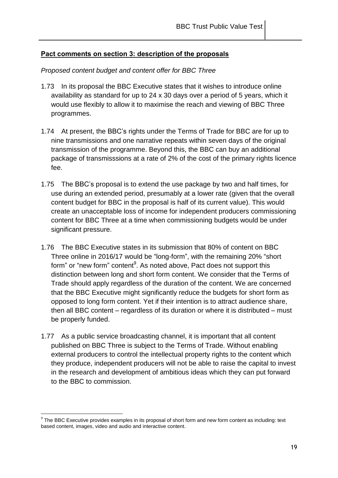### **Pact comments on section 3: description of the proposals**

#### *Proposed content budget and content offer for BBC Three*

- 1.73 In its proposal the BBC Executive states that it wishes to introduce online availability as standard for up to 24 x 30 days over a period of 5 years, which it would use flexibly to allow it to maximise the reach and viewing of BBC Three programmes.
- 1.74 At present, the BBC's rights under the Terms of Trade for BBC are for up to nine transmissions and one narrative repeats within seven days of the original transmission of the programme. Beyond this, the BBC can buy an additional package of transmisssions at a rate of 2% of the cost of the primary rights licence fee.
- 1.75 The BBC's proposal is to extend the use package by two and half times, for use during an extended period, presumably at a lower rate (given that the overall content budget for BBC in the proposal is half of its current value). This would create an unacceptable loss of income for independent producers commissioning content for BBC Three at a time when commissioning budgets would be under significant pressure.
- 1.76 The BBC Executive states in its submission that 80% of content on BBC Three online in 2016/17 would be "long-form", with the remaining 20% "short form" or "new form" content<sup>9</sup>. As noted above, Pact does not support this distinction between long and short form content. We consider that the Terms of Trade should apply regardless of the duration of the content. We are concerned that the BBC Executive might significantly reduce the budgets for short form as opposed to long form content. Yet if their intention is to attract audience share, then all BBC content – regardless of its duration or where it is distributed – must be properly funded.
- 1.77 As a public service broadcasting channel, it is important that all content published on BBC Three is subject to the Terms of Trade. Without enabling external producers to control the intellectual property rights to the content which they produce, independent producers will not be able to raise the capital to invest in the research and development of ambitious ideas which they can put forward to the BBC to commission.

 $^9$  The BBC Executive provides examples in its proposal of short form and new form content as including: text based content, images, video and audio and interactive content.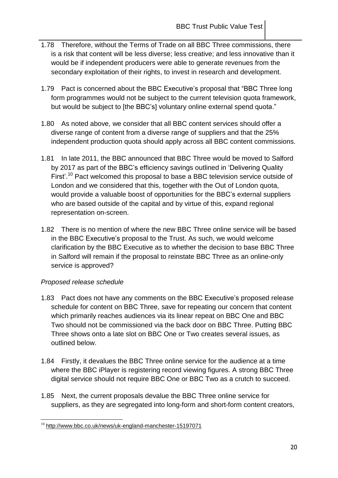- 1.78 Therefore, without the Terms of Trade on all BBC Three commissions, there is a risk that content will be less diverse; less creative; and less innovative than it would be if independent producers were able to generate revenues from the secondary exploitation of their rights, to invest in research and development.
- 1.79 Pact is concerned about the BBC Executive's proposal that "BBC Three long form programmes would not be subject to the current television quota framework, but would be subject to [the BBC's] voluntary online external spend quota."
- 1.80 As noted above, we consider that all BBC content services should offer a diverse range of content from a diverse range of suppliers and that the 25% independent production quota should apply across all BBC content commissions.
- 1.81 In late 2011, the BBC announced that BBC Three would be moved to Salford by 2017 as part of the BBC's efficiency savings outlined in 'Delivering Quality First'.<sup>10</sup> Pact welcomed this proposal to base a BBC television service outside of London and we considered that this, together with the Out of London quota, would provide a valuable boost of opportunities for the BBC's external suppliers who are based outside of the capital and by virtue of this, expand regional representation on-screen.
- 1.82 There is no mention of where the new BBC Three online service will be based in the BBC Executive's proposal to the Trust. As such, we would welcome clarification by the BBC Executive as to whether the decision to base BBC Three in Salford will remain if the proposal to reinstate BBC Three as an online-only service is approved?

## *Proposed release schedule*

- 1.83 Pact does not have any comments on the BBC Executive's proposed release schedule for content on BBC Three, save for repeating our concern that content which primarily reaches audiences via its linear repeat on BBC One and BBC Two should not be commissioned via the back door on BBC Three. Putting BBC Three shows onto a late slot on BBC One or Two creates several issues, as outlined below.
- 1.84 Firstly, it devalues the BBC Three online service for the audience at a time where the BBC iPlayer is registering record viewing figures. A strong BBC Three digital service should not require BBC One or BBC Two as a crutch to succeed.
- 1.85 Next, the current proposals devalue the BBC Three online service for suppliers, as they are segregated into long-form and short-form content creators,

 $\overline{a}$ <sup>10</sup> <http://www.bbc.co.uk/news/uk-england-manchester-15197071>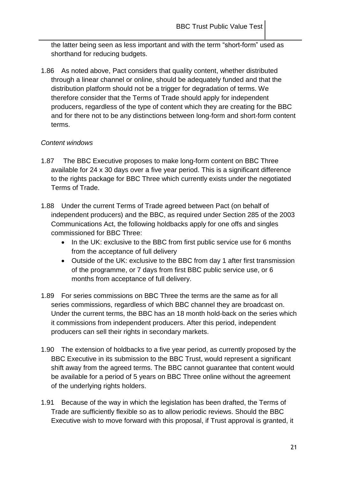the latter being seen as less important and with the term "short-form" used as shorthand for reducing budgets.

1.86 As noted above, Pact considers that quality content, whether distributed through a linear channel or online, should be adequately funded and that the distribution platform should not be a trigger for degradation of terms. We therefore consider that the Terms of Trade should apply for independent producers, regardless of the type of content which they are creating for the BBC and for there not to be any distinctions between long-form and short-form content terms.

## *Content windows*

- 1.87 The BBC Executive proposes to make long-form content on BBC Three available for 24 x 30 days over a five year period. This is a significant difference to the rights package for BBC Three which currently exists under the negotiated Terms of Trade.
- 1.88 Under the current Terms of Trade agreed between Pact (on behalf of independent producers) and the BBC, as required under Section 285 of the 2003 Communications Act, the following holdbacks apply for one offs and singles commissioned for BBC Three:
	- In the UK: exclusive to the BBC from first public service use for 6 months from the acceptance of full delivery
	- Outside of the UK: exclusive to the BBC from day 1 after first transmission of the programme, or 7 days from first BBC public service use, or 6 months from acceptance of full delivery.
- 1.89 For series commissions on BBC Three the terms are the same as for all series commissions, regardless of which BBC channel they are broadcast on. Under the current terms, the BBC has an 18 month hold-back on the series which it commissions from independent producers. After this period, independent producers can sell their rights in secondary markets.
- 1.90 The extension of holdbacks to a five year period, as currently proposed by the BBC Executive in its submission to the BBC Trust, would represent a significant shift away from the agreed terms. The BBC cannot guarantee that content would be available for a period of 5 years on BBC Three online without the agreement of the underlying rights holders.
- 1.91 Because of the way in which the legislation has been drafted, the Terms of Trade are sufficiently flexible so as to allow periodic reviews. Should the BBC Executive wish to move forward with this proposal, if Trust approval is granted, it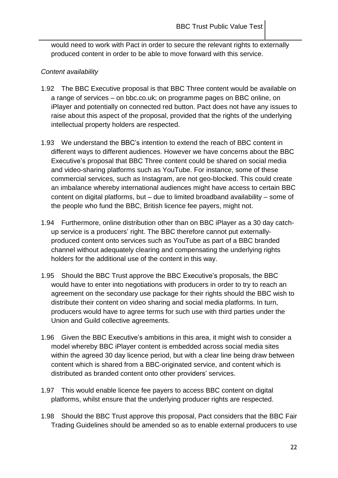would need to work with Pact in order to secure the relevant rights to externally produced content in order to be able to move forward with this service.

### *Content availability*

- 1.92 The BBC Executive proposal is that BBC Three content would be available on a range of services – on bbc.co.uk; on programme pages on BBC online, on iPlayer and potentially on connected red button. Pact does not have any issues to raise about this aspect of the proposal, provided that the rights of the underlying intellectual property holders are respected.
- 1.93 We understand the BBC's intention to extend the reach of BBC content in different ways to different audiences. However we have concerns about the BBC Executive's proposal that BBC Three content could be shared on social media and video-sharing platforms such as YouTube. For instance, some of these commercial services, such as Instagram, are not geo-blocked. This could create an imbalance whereby international audiences might have access to certain BBC content on digital platforms, but – due to limited broadband availability – some of the people who fund the BBC, British licence fee payers, might not.
- 1.94 Furthermore, online distribution other than on BBC iPlayer as a 30 day catchup service is a producers' right. The BBC therefore cannot put externallyproduced content onto services such as YouTube as part of a BBC branded channel without adequately clearing and compensating the underlying rights holders for the additional use of the content in this way.
- 1.95 Should the BBC Trust approve the BBC Executive's proposals, the BBC would have to enter into negotiations with producers in order to try to reach an agreement on the secondary use package for their rights should the BBC wish to distribute their content on video sharing and social media platforms. In turn, producers would have to agree terms for such use with third parties under the Union and Guild collective agreements.
- 1.96 Given the BBC Executive's ambitions in this area, it might wish to consider a model whereby BBC iPlayer content is embedded across social media sites within the agreed 30 day licence period, but with a clear line being draw between content which is shared from a BBC-originated service, and content which is distributed as branded content onto other providers' services.
- 1.97 This would enable licence fee payers to access BBC content on digital platforms, whilst ensure that the underlying producer rights are respected.
- 1.98 Should the BBC Trust approve this proposal, Pact considers that the BBC Fair Trading Guidelines should be amended so as to enable external producers to use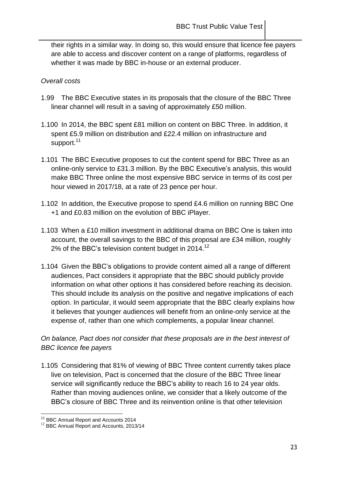their rights in a similar way. In doing so, this would ensure that licence fee payers are able to access and discover content on a range of platforms, regardless of whether it was made by BBC in-house or an external producer.

#### *Overall costs*

- 1.99 The BBC Executive states in its proposals that the closure of the BBC Three linear channel will result in a saving of approximately £50 million.
- 1.100 In 2014, the BBC spent £81 million on content on BBC Three. In addition, it spent £5.9 million on distribution and £22.4 million on infrastructure and support.<sup>11</sup>
- 1.101 The BBC Executive proposes to cut the content spend for BBC Three as an online-only service to £31.3 million. By the BBC Executive's analysis, this would make BBC Three online the most expensive BBC service in terms of its cost per hour viewed in 2017/18, at a rate of 23 pence per hour.
- 1.102 In addition, the Executive propose to spend £4.6 million on running BBC One +1 and £0.83 million on the evolution of BBC iPlayer.
- 1.103 When a £10 million investment in additional drama on BBC One is taken into account, the overall savings to the BBC of this proposal are £34 million, roughly 2% of the BBC's television content budget in 2014.<sup>12</sup>
- 1.104 Given the BBC's obligations to provide content aimed all a range of different audiences, Pact considers it appropriate that the BBC should publicly provide information on what other options it has considered before reaching its decision. This should include its analysis on the positive and negative implications of each option. In particular, it would seem appropriate that the BBC clearly explains how it believes that younger audiences will benefit from an online-only service at the expense of, rather than one which complements, a popular linear channel.

## *On balance, Pact does not consider that these proposals are in the best interest of BBC licence fee payers*

1.105 Considering that 81% of viewing of BBC Three content currently takes place live on television, Pact is concerned that the closure of the BBC Three linear service will significantly reduce the BBC's ability to reach 16 to 24 year olds. Rather than moving audiences online, we consider that a likely outcome of the BBC's closure of BBC Three and its reinvention online is that other television

 $\overline{a}$ <sup>11</sup> BBC Annual Report and Accounts 2014

<sup>&</sup>lt;sup>12</sup> BBC Annual Report and Accounts, 2013/14